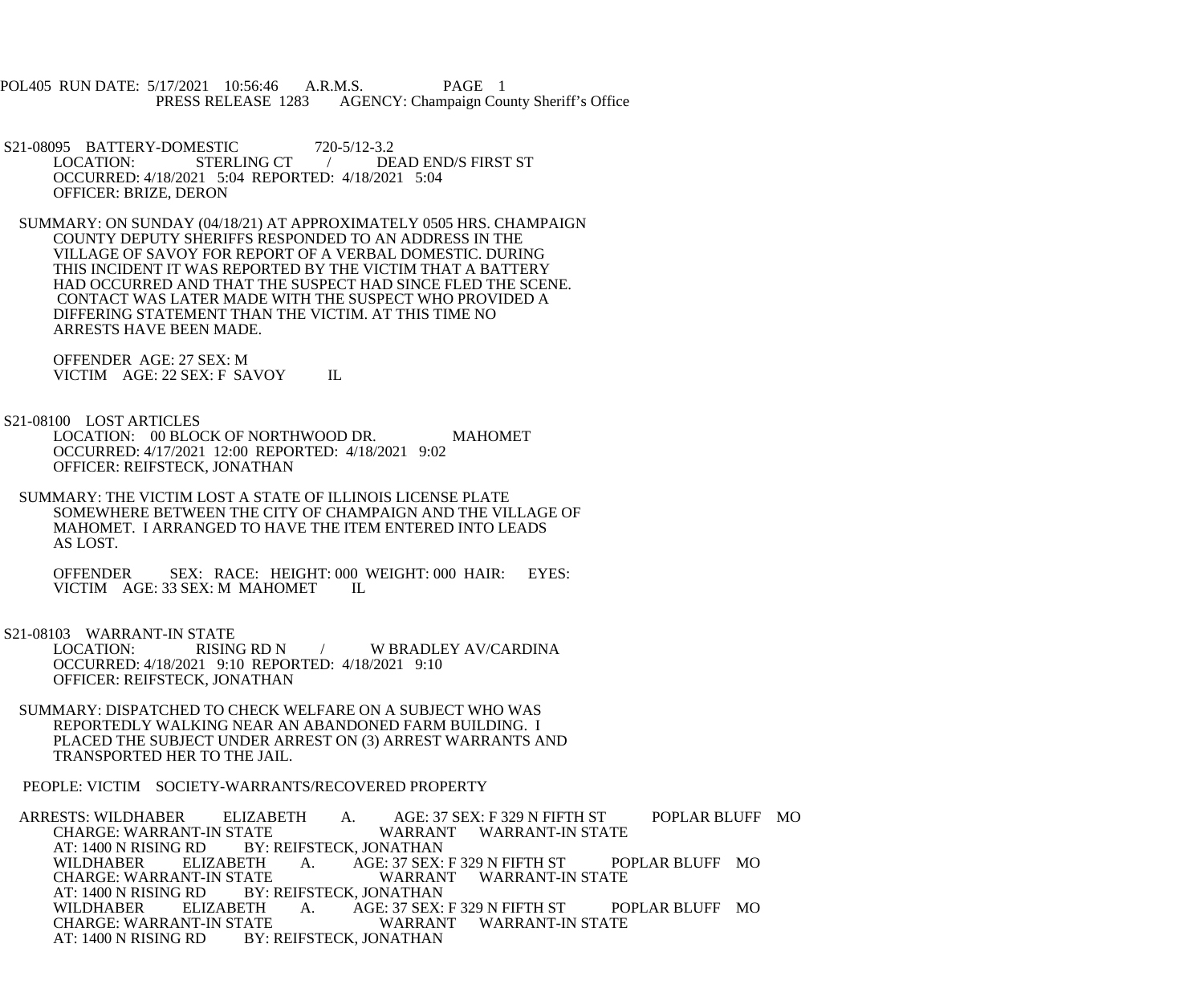POL405 RUN DATE: 5/17/2021 10:56:46 A.R.M.S. PAGE 1<br>PRESS RELEASE 1283 AGENCY: Champaign Cou AGENCY: Champaign County Sheriff's Office

S21-08095 BATTERY-DOMESTIC 720-5/12-3.2<br>LOCATION: STERLING CT / DE / DEAD END/S FIRST ST OCCURRED: 4/18/2021 5:04 REPORTED: 4/18/2021 5:04 OFFICER: BRIZE, DERON

 SUMMARY: ON SUNDAY (04/18/21) AT APPROXIMATELY 0505 HRS. CHAMPAIGN COUNTY DEPUTY SHERIFFS RESPONDED TO AN ADDRESS IN THE VILLAGE OF SAVOY FOR REPORT OF A VERBAL DOMESTIC. DURING THIS INCIDENT IT WAS REPORTED BY THE VICTIM THAT A BATTERY HAD OCCURRED AND THAT THE SUSPECT HAD SINCE FLED THE SCENE. CONTACT WAS LATER MADE WITH THE SUSPECT WHO PROVIDED A DIFFERING STATEMENT THAN THE VICTIM. AT THIS TIME NO ARRESTS HAVE BEEN MADE.

 OFFENDER AGE: 27 SEX: M VICTIM AGE: 22 SEX: F SAVOY IL

S21-08100 LOST ARTICLES

LOCATION: 00 BLOCK OF NORTHWOOD DR. MAHOMET OCCURRED: 4/17/2021 12:00 REPORTED: 4/18/2021 9:02 OFFICER: REIFSTECK, JONATHAN

 SUMMARY: THE VICTIM LOST A STATE OF ILLINOIS LICENSE PLATE SOMEWHERE BETWEEN THE CITY OF CHAMPAIGN AND THE VILLAGE OF MAHOMET. I ARRANGED TO HAVE THE ITEM ENTERED INTO LEADS AS LOST.

 OFFENDER SEX: RACE: HEIGHT: 000 WEIGHT: 000 HAIR: EYES: VICTIM AGE: 33 SEX: M MAHOMET IL

S21-08103 WARRANT-IN STATE<br>LOCATION: RISING RD N / W BRADLEY AV/CARDINA OCCURRED: 4/18/2021 9:10 REPORTED: 4/18/2021 9:10 OFFICER: REIFSTECK, JONATHAN

 SUMMARY: DISPATCHED TO CHECK WELFARE ON A SUBJECT WHO WAS REPORTEDLY WALKING NEAR AN ABANDONED FARM BUILDING. I PLACED THE SUBJECT UNDER ARREST ON (3) ARREST WARRANTS AND TRANSPORTED HER TO THE JAIL.

PEOPLE: VICTIM SOCIETY-WARRANTS/RECOVERED PROPERTY

ARRESTS: WILDHABER ELIZABETH A. AGE: 37 SEX: F 329 N FIFTH ST POPLAR BLUFF MO<br>CHARGE: WARRANT-IN STATE WARRANT WARRANT-IN STATE CHARGE: WARRANT-IN STATE WARRANT WARRANT-IN STATE<br>AT: 1400 N RISING RD BY: REIFSTECK. JONATHAN AT: 1400 N RISING RD BY: REIFSTECK, JONATHAN<br>WILDHABER ELIZABETH A. AGE: 37 SEX: WILDHABER ELIZABETH A. AGE: 37 SEX: F 329 N FIFTH ST POPLAR BLUFF MO<br>CHARGE: WARRANT-IN STATE WARRANT WARRANT-IN STATE CHARGE: WARRANT-IN STATE WARRANT WARRANT-IN STATE<br>AT: 1400 N RISING RD BY: REIFSTECK, JONATHAN AT: 1400 N RISING RD BY: REIFSTECK, JONATHAN<br>WILDHABER ELIZABETH A. AGE: 37 SEX: WILDHABER ELIZABETH A. AGE: 37 SEX: F 329 N FIFTH ST POPLAR BLUFF MO<br>CHARGE: WARRANT-IN STATE WARRANT WARRANT-IN STATE CHARGE: WARRANT-IN STATE WARRANT WARRANT-IN STATE<br>AT: 1400 N RISING RD BY: REIFSTECK. JONATHAN BY: REIFSTECK, JONATHAN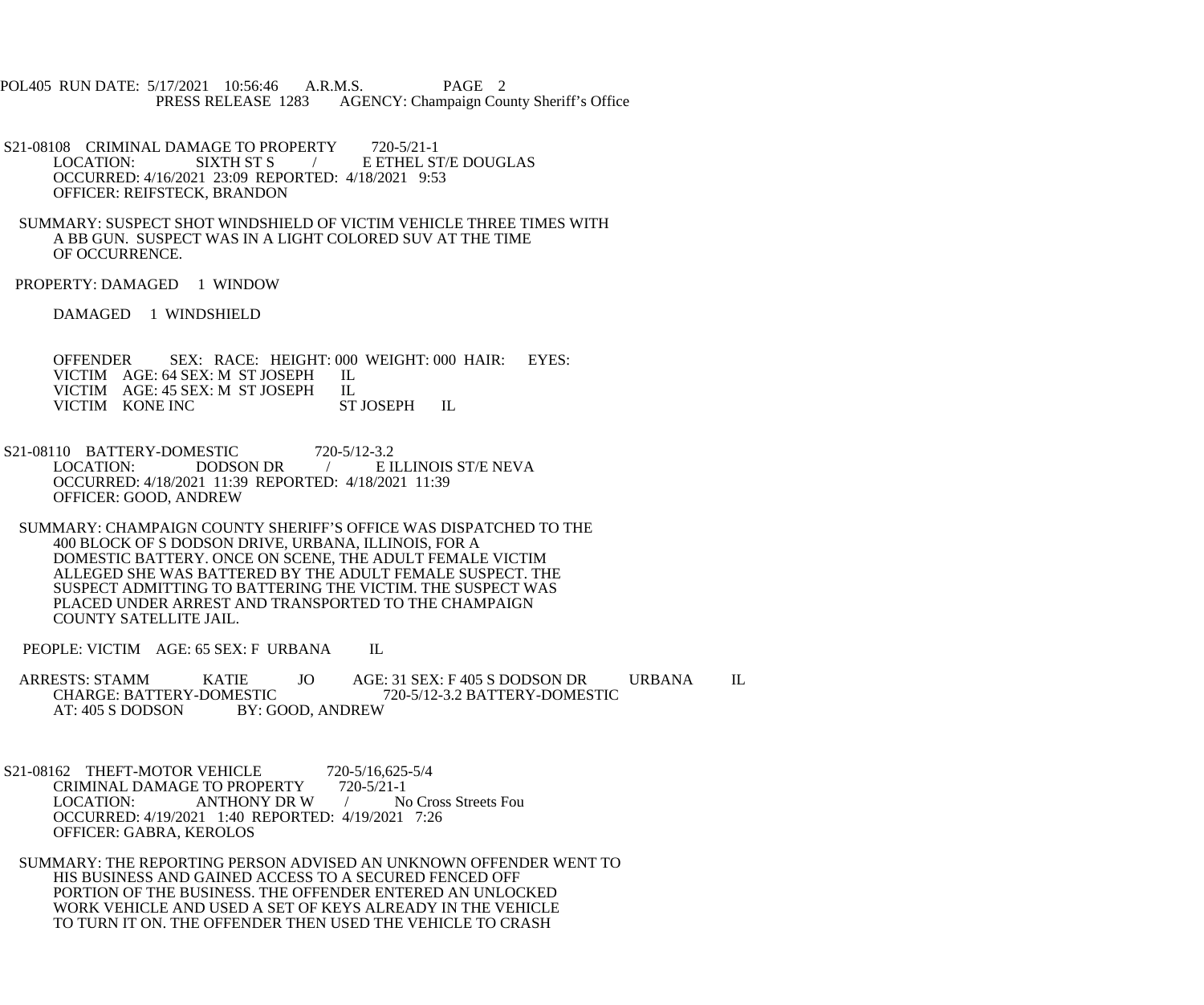POL405 RUN DATE: 5/17/2021 10:56:46 A.R.M.S. PAGE 2<br>PRESS RELEASE 1283 AGENCY: Champaign Cou AGENCY: Champaign County Sheriff's Office

S21-08108 CRIMINAL DAMAGE TO PROPERTY 720-5/21-1<br>LOCATION: SIXTH ST S **E ETHEL ST/E DOUGLAS**  OCCURRED: 4/16/2021 23:09 REPORTED: 4/18/2021 9:53 OFFICER: REIFSTECK, BRANDON

 SUMMARY: SUSPECT SHOT WINDSHIELD OF VICTIM VEHICLE THREE TIMES WITH A BB GUN. SUSPECT WAS IN A LIGHT COLORED SUV AT THE TIME OF OCCURRENCE.

PROPERTY: DAMAGED 1 WINDOW

DAMAGED 1 WINDSHIELD

OFFENDER SEX: RACE: HEIGHT: 000 WEIGHT: 000 HAIR: EYES: VICTIM AGE: 64 SEX: M ST JOSEPH IL VICTIM AGE: 64 SEX: M ST JOSEPH IL<br>VICTIM AGE: 45 SEX: M ST JOSEPH IL VICTIM AGE: 45 SEX: M ST JOSEPH IL<br>VICTIM KONE INC ST JOSEPH VICTIM KONE INC ST JOSEPH IL

S21-08110 BATTERY-DOMESTIC 720-5/12-3.2<br>LOCATION: DODSON DR / EI E ILLINOIS ST/E NEVA OCCURRED: 4/18/2021 11:39 REPORTED: 4/18/2021 11:39 OFFICER: GOOD, ANDREW

 SUMMARY: CHAMPAIGN COUNTY SHERIFF'S OFFICE WAS DISPATCHED TO THE 400 BLOCK OF S DODSON DRIVE, URBANA, ILLINOIS, FOR A DOMESTIC BATTERY. ONCE ON SCENE, THE ADULT FEMALE VICTIM ALLEGED SHE WAS BATTERED BY THE ADULT FEMALE SUSPECT. THE SUSPECT ADMITTING TO BATTERING THE VICTIM. THE SUSPECT WAS PLACED UNDER ARREST AND TRANSPORTED TO THE CHAMPAIGN COUNTY SATELLITE JAIL.

PEOPLE: VICTIM AGE: 65 SEX: F URBANA IL

ARRESTS: STAMM KATIE JO AGE: 31 SEX: F 405 S DODSON DR URBANA IL CHARGE: BATTERY-DOMESTIC 720-5/12-3.2 BATTERY-DOMESTIC CHARGE: BATTERY-DOMESTIC 720-5/12-3.2 BATTERY-DOMESTIC<br>AT: 405 S DODSON BY: GOOD, ANDREW BY: GOOD, ANDREW

S21-08162 THEFT-MOTOR VEHICLE 720-5/16,625-5/4<br>CRIMINAL DAMAGE TO PROPERTY 720-5/21-1 CRIMINAL DAMAGE TO PROPERTY<br>LOCATION: ANTHONY DR W / No Cross Streets Fou OCCURRED: 4/19/2021 1:40 REPORTED: 4/19/2021 7:26 OFFICER: GABRA, KEROLOS

 SUMMARY: THE REPORTING PERSON ADVISED AN UNKNOWN OFFENDER WENT TO HIS BUSINESS AND GAINED ACCESS TO A SECURED FENCED OFF PORTION OF THE BUSINESS. THE OFFENDER ENTERED AN UNLOCKED WORK VEHICLE AND USED A SET OF KEYS ALREADY IN THE VEHICLE TO TURN IT ON. THE OFFENDER THEN USED THE VEHICLE TO CRASH